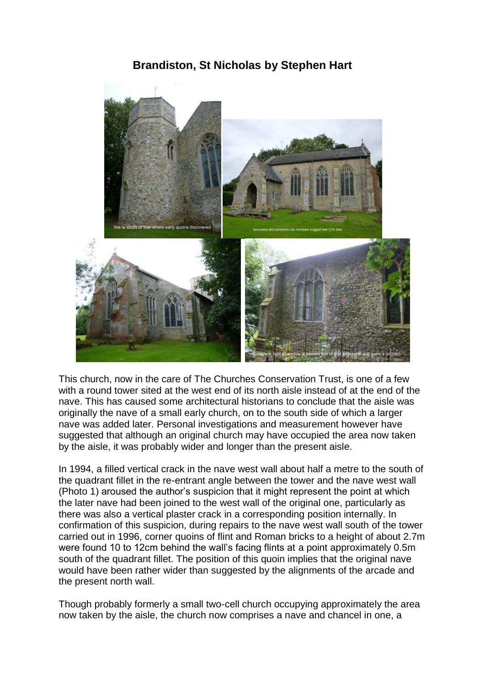# **Brandiston, St Nicholas by Stephen Hart**



This church, now in the care of The Churches Conservation Trust, is one of a few with a round tower sited at the west end of its north aisle instead of at the end of the nave. This has caused some architectural historians to conclude that the aisle was originally the nave of a small early church, on to the south side of which a larger nave was added later. Personal investigations and measurement however have suggested that although an original church may have occupied the area now taken by the aisle, it was probably wider and longer than the present aisle.

In 1994, a filled vertical crack in the nave west wall about half a metre to the south of the quadrant fillet in the re-entrant angle between the tower and the nave west wall (Photo 1) aroused the author's suspicion that it might represent the point at which the later nave had been joined to the west wall of the original one, particularly as there was also a vertical plaster crack in a corresponding position internally. In confirmation of this suspicion, during repairs to the nave west wall south of the tower carried out in 1996, corner quoins of flint and Roman bricks to a height of about 2.7m were found 10 to 12cm behind the wall's facing flints at a point approximately 0.5m south of the quadrant fillet. The position of this quoin implies that the original nave would have been rather wider than suggested by the alignments of the arcade and the present north wall.

Though probably formerly a small two-cell church occupying approximately the area now taken by the aisle, the church now comprises a nave and chancel in one, a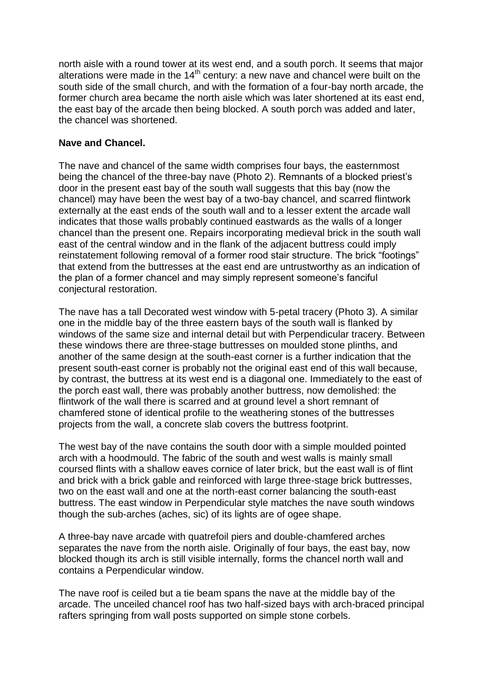north aisle with a round tower at its west end, and a south porch. It seems that major alterations were made in the  $14<sup>th</sup>$  century: a new nave and chancel were built on the south side of the small church, and with the formation of a four-bay north arcade, the former church area became the north aisle which was later shortened at its east end, the east bay of the arcade then being blocked. A south porch was added and later, the chancel was shortened.

### **Nave and Chancel.**

The nave and chancel of the same width comprises four bays, the easternmost being the chancel of the three-bay nave (Photo 2). Remnants of a blocked priest's door in the present east bay of the south wall suggests that this bay (now the chancel) may have been the west bay of a two-bay chancel, and scarred flintwork externally at the east ends of the south wall and to a lesser extent the arcade wall indicates that those walls probably continued eastwards as the walls of a longer chancel than the present one. Repairs incorporating medieval brick in the south wall east of the central window and in the flank of the adjacent buttress could imply reinstatement following removal of a former rood stair structure. The brick "footings" that extend from the buttresses at the east end are untrustworthy as an indication of the plan of a former chancel and may simply represent someone's fanciful conjectural restoration.

The nave has a tall Decorated west window with 5-petal tracery (Photo 3). A similar one in the middle bay of the three eastern bays of the south wall is flanked by windows of the same size and internal detail but with Perpendicular tracery. Between these windows there are three-stage buttresses on moulded stone plinths, and another of the same design at the south-east corner is a further indication that the present south-east corner is probably not the original east end of this wall because, by contrast, the buttress at its west end is a diagonal one. Immediately to the east of the porch east wall, there was probably another buttress, now demolished: the flintwork of the wall there is scarred and at ground level a short remnant of chamfered stone of identical profile to the weathering stones of the buttresses projects from the wall, a concrete slab covers the buttress footprint.

The west bay of the nave contains the south door with a simple moulded pointed arch with a hoodmould. The fabric of the south and west walls is mainly small coursed flints with a shallow eaves cornice of later brick, but the east wall is of flint and brick with a brick gable and reinforced with large three-stage brick buttresses, two on the east wall and one at the north-east corner balancing the south-east buttress. The east window in Perpendicular style matches the nave south windows though the sub-arches (aches, sic) of its lights are of ogee shape.

A three-bay nave arcade with quatrefoil piers and double-chamfered arches separates the nave from the north aisle. Originally of four bays, the east bay, now blocked though its arch is still visible internally, forms the chancel north wall and contains a Perpendicular window.

The nave roof is ceiled but a tie beam spans the nave at the middle bay of the arcade. The unceiled chancel roof has two half-sized bays with arch-braced principal rafters springing from wall posts supported on simple stone corbels.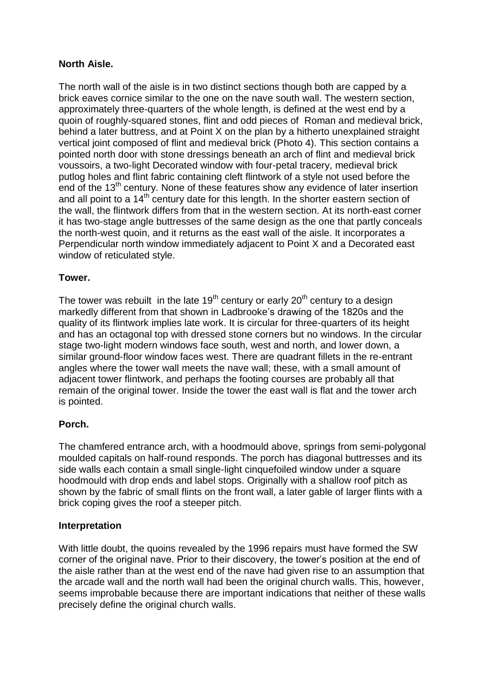## **North Aisle.**

The north wall of the aisle is in two distinct sections though both are capped by a brick eaves cornice similar to the one on the nave south wall. The western section, approximately three-quarters of the whole length, is defined at the west end by a quoin of roughly-squared stones, flint and odd pieces of Roman and medieval brick, behind a later buttress, and at Point X on the plan by a hitherto unexplained straight vertical joint composed of flint and medieval brick (Photo 4). This section contains a pointed north door with stone dressings beneath an arch of flint and medieval brick voussoirs, a two-light Decorated window with four-petal tracery, medieval brick putlog holes and flint fabric containing cleft flintwork of a style not used before the end of the 13<sup>th</sup> century. None of these features show any evidence of later insertion and all point to a 14<sup>th</sup> century date for this length. In the shorter eastern section of the wall, the flintwork differs from that in the western section. At its north-east corner it has two-stage angle buttresses of the same design as the one that partly conceals the north-west quoin, and it returns as the east wall of the aisle. It incorporates a Perpendicular north window immediately adjacent to Point X and a Decorated east window of reticulated style.

### **Tower.**

The tower was rebuilt in the late  $19<sup>th</sup>$  century or early  $20<sup>th</sup>$  century to a design markedly different from that shown in Ladbrooke's drawing of the 1820s and the quality of its flintwork implies late work. It is circular for three-quarters of its height and has an octagonal top with dressed stone corners but no windows. In the circular stage two-light modern windows face south, west and north, and lower down, a similar ground-floor window faces west. There are quadrant fillets in the re-entrant angles where the tower wall meets the nave wall; these, with a small amount of adjacent tower flintwork, and perhaps the footing courses are probably all that remain of the original tower. Inside the tower the east wall is flat and the tower arch is pointed.

### **Porch.**

The chamfered entrance arch, with a hoodmould above, springs from semi-polygonal moulded capitals on half-round responds. The porch has diagonal buttresses and its side walls each contain a small single-light cinquefoiled window under a square hoodmould with drop ends and label stops. Originally with a shallow roof pitch as shown by the fabric of small flints on the front wall, a later gable of larger flints with a brick coping gives the roof a steeper pitch.

### **Interpretation**

With little doubt, the quoins revealed by the 1996 repairs must have formed the SW corner of the original nave. Prior to their discovery, the tower's position at the end of the aisle rather than at the west end of the nave had given rise to an assumption that the arcade wall and the north wall had been the original church walls. This, however, seems improbable because there are important indications that neither of these walls precisely define the original church walls.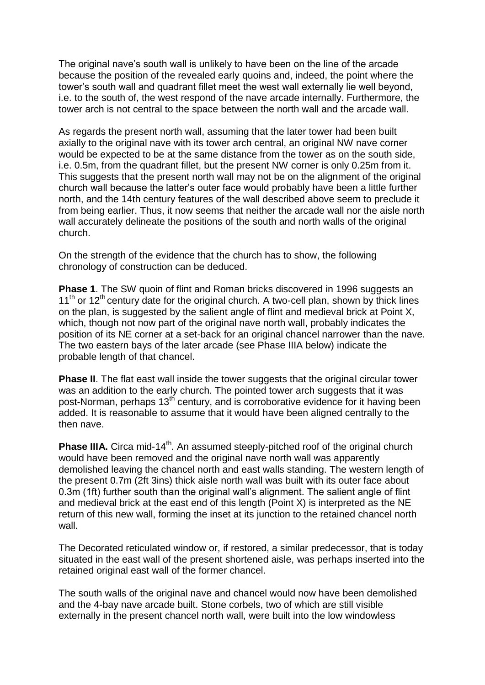The original nave's south wall is unlikely to have been on the line of the arcade because the position of the revealed early quoins and, indeed, the point where the tower's south wall and quadrant fillet meet the west wall externally lie well beyond, i.e. to the south of, the west respond of the nave arcade internally. Furthermore, the tower arch is not central to the space between the north wall and the arcade wall.

As regards the present north wall, assuming that the later tower had been built axially to the original nave with its tower arch central, an original NW nave corner would be expected to be at the same distance from the tower as on the south side, i.e. 0.5m, from the quadrant fillet, but the present NW corner is only 0.25m from it. This suggests that the present north wall may not be on the alignment of the original church wall because the latter's outer face would probably have been a little further north, and the 14th century features of the wall described above seem to preclude it from being earlier. Thus, it now seems that neither the arcade wall nor the aisle north wall accurately delineate the positions of the south and north walls of the original church.

On the strength of the evidence that the church has to show, the following chronology of construction can be deduced.

**Phase 1**. The SW quoin of flint and Roman bricks discovered in 1996 suggests an  $11<sup>th</sup>$  or 12<sup>th</sup> century date for the original church. A two-cell plan, shown by thick lines on the plan, is suggested by the salient angle of flint and medieval brick at Point X, which, though not now part of the original nave north wall, probably indicates the position of its NE corner at a set-back for an original chancel narrower than the nave. The two eastern bays of the later arcade (see Phase IIIA below) indicate the probable length of that chancel.

**Phase II**. The flat east wall inside the tower suggests that the original circular tower was an addition to the early church. The pointed tower arch suggests that it was post-Norman, perhaps 13<sup>th</sup> century, and is corroborative evidence for it having been added. It is reasonable to assume that it would have been aligned centrally to the then nave.

**Phase IIIA.** Circa mid-14<sup>th</sup>. An assumed steeply-pitched roof of the original church would have been removed and the original nave north wall was apparently demolished leaving the chancel north and east walls standing. The western length of the present 0.7m (2ft 3ins) thick aisle north wall was built with its outer face about 0.3m (1ft) further south than the original wall's alignment. The salient angle of flint and medieval brick at the east end of this length (Point X) is interpreted as the NE return of this new wall, forming the inset at its junction to the retained chancel north wall.

The Decorated reticulated window or, if restored, a similar predecessor, that is today situated in the east wall of the present shortened aisle, was perhaps inserted into the retained original east wall of the former chancel.

The south walls of the original nave and chancel would now have been demolished and the 4-bay nave arcade built. Stone corbels, two of which are still visible externally in the present chancel north wall, were built into the low windowless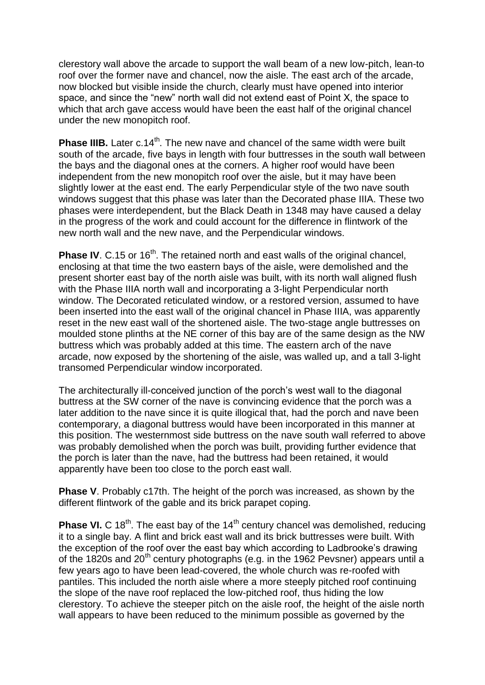clerestory wall above the arcade to support the wall beam of a new low-pitch, lean-to roof over the former nave and chancel, now the aisle. The east arch of the arcade, now blocked but visible inside the church, clearly must have opened into interior space, and since the "new" north wall did not extend east of Point X, the space to which that arch gave access would have been the east half of the original chancel under the new monopitch roof.

**Phase IIIB.** Later c.14<sup>th</sup>. The new nave and chancel of the same width were built south of the arcade, five bays in length with four buttresses in the south wall between the bays and the diagonal ones at the corners. A higher roof would have been independent from the new monopitch roof over the aisle, but it may have been slightly lower at the east end. The early Perpendicular style of the two nave south windows suggest that this phase was later than the Decorated phase IIIA. These two phases were interdependent, but the Black Death in 1348 may have caused a delay in the progress of the work and could account for the difference in flintwork of the new north wall and the new nave, and the Perpendicular windows.

**Phase IV**. C.15 or 16<sup>th</sup>. The retained north and east walls of the original chancel, enclosing at that time the two eastern bays of the aisle, were demolished and the present shorter east bay of the north aisle was built, with its north wall aligned flush with the Phase IIIA north wall and incorporating a 3-light Perpendicular north window. The Decorated reticulated window, or a restored version, assumed to have been inserted into the east wall of the original chancel in Phase IIIA, was apparently reset in the new east wall of the shortened aisle. The two-stage angle buttresses on moulded stone plinths at the NE corner of this bay are of the same design as the NW buttress which was probably added at this time. The eastern arch of the nave arcade, now exposed by the shortening of the aisle, was walled up, and a tall 3-light transomed Perpendicular window incorporated.

The architecturally ill-conceived junction of the porch's west wall to the diagonal buttress at the SW corner of the nave is convincing evidence that the porch was a later addition to the nave since it is quite illogical that, had the porch and nave been contemporary, a diagonal buttress would have been incorporated in this manner at this position. The westernmost side buttress on the nave south wall referred to above was probably demolished when the porch was built, providing further evidence that the porch is later than the nave, had the buttress had been retained, it would apparently have been too close to the porch east wall.

**Phase V**. Probably c17th. The height of the porch was increased, as shown by the different flintwork of the gable and its brick parapet coping.

**Phase VI.** C 18<sup>th</sup>. The east bay of the 14<sup>th</sup> century chancel was demolished, reducing it to a single bay. A flint and brick east wall and its brick buttresses were built. With the exception of the roof over the east bay which according to Ladbrooke's drawing of the 1820s and 20<sup>th</sup> century photographs (e.g. in the 1962 Pevsner) appears until a few years ago to have been lead-covered, the whole church was re-roofed with pantiles. This included the north aisle where a more steeply pitched roof continuing the slope of the nave roof replaced the low-pitched roof, thus hiding the low clerestory. To achieve the steeper pitch on the aisle roof, the height of the aisle north wall appears to have been reduced to the minimum possible as governed by the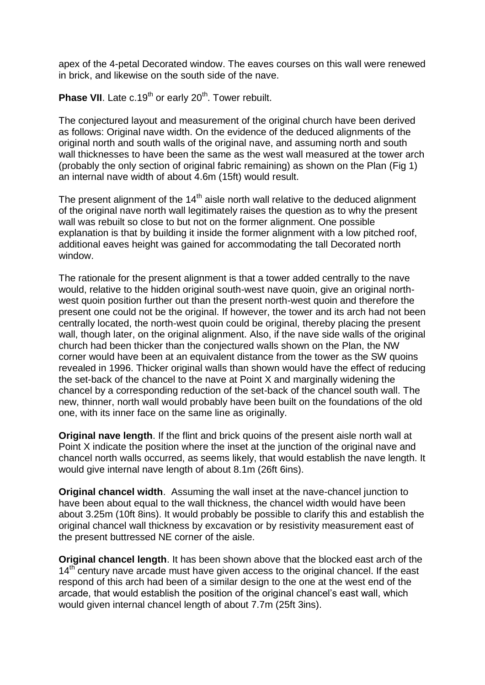apex of the 4-petal Decorated window. The eaves courses on this wall were renewed in brick, and likewise on the south side of the nave.

**Phase VII.** Late c.19<sup>th</sup> or early 20<sup>th</sup>. Tower rebuilt.

The conjectured layout and measurement of the original church have been derived as follows: Original nave width. On the evidence of the deduced alignments of the original north and south walls of the original nave, and assuming north and south wall thicknesses to have been the same as the west wall measured at the tower arch (probably the only section of original fabric remaining) as shown on the Plan (Fig 1) an internal nave width of about 4.6m (15ft) would result.

The present alignment of the  $14<sup>th</sup>$  aisle north wall relative to the deduced alignment of the original nave north wall legitimately raises the question as to why the present wall was rebuilt so close to but not on the former alignment. One possible explanation is that by building it inside the former alignment with a low pitched roof, additional eaves height was gained for accommodating the tall Decorated north window.

The rationale for the present alignment is that a tower added centrally to the nave would, relative to the hidden original south-west nave quoin, give an original northwest quoin position further out than the present north-west quoin and therefore the present one could not be the original. If however, the tower and its arch had not been centrally located, the north-west quoin could be original, thereby placing the present wall, though later, on the original alignment. Also, if the nave side walls of the original church had been thicker than the conjectured walls shown on the Plan, the NW corner would have been at an equivalent distance from the tower as the SW quoins revealed in 1996. Thicker original walls than shown would have the effect of reducing the set-back of the chancel to the nave at Point X and marginally widening the chancel by a corresponding reduction of the set-back of the chancel south wall. The new, thinner, north wall would probably have been built on the foundations of the old one, with its inner face on the same line as originally.

**Original nave length**. If the flint and brick quoins of the present aisle north wall at Point X indicate the position where the inset at the junction of the original nave and chancel north walls occurred, as seems likely, that would establish the nave length. It would give internal nave length of about 8.1m (26ft 6ins).

**Original chancel width**. Assuming the wall inset at the nave-chancel junction to have been about equal to the wall thickness, the chancel width would have been about 3.25m (10ft 8ins). It would probably be possible to clarify this and establish the original chancel wall thickness by excavation or by resistivity measurement east of the present buttressed NE corner of the aisle.

**Original chancel length**. It has been shown above that the blocked east arch of the 14<sup>th</sup> century nave arcade must have given access to the original chancel. If the east respond of this arch had been of a similar design to the one at the west end of the arcade, that would establish the position of the original chancel's east wall, which would given internal chancel length of about 7.7m (25ft 3ins).